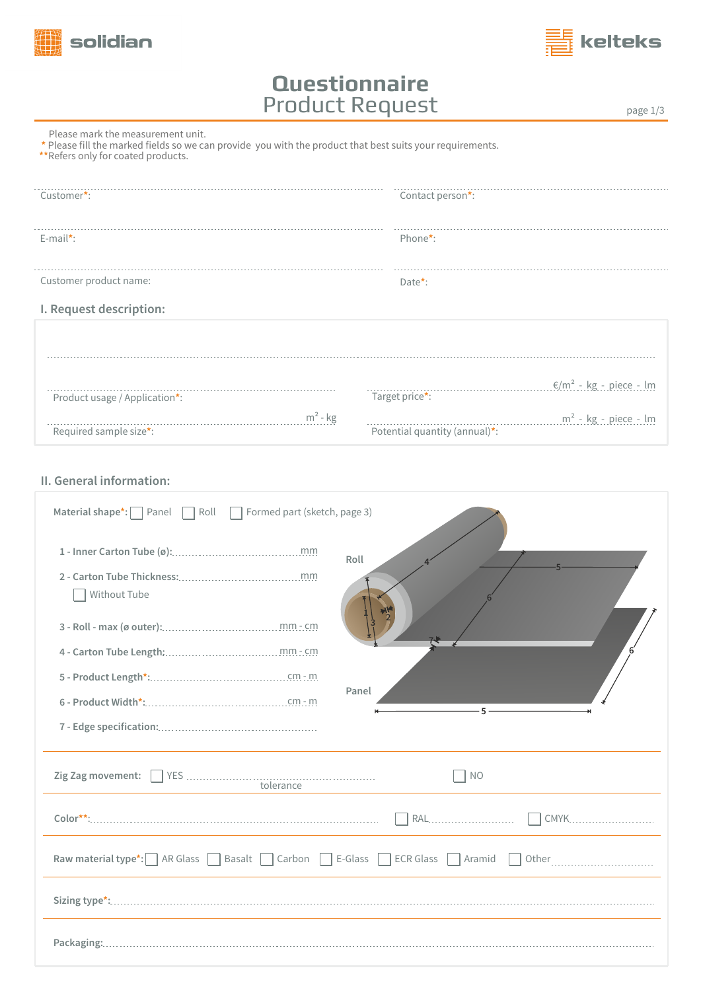



## **Questionnaire** Product Request

page 1/3

|  |  |  |  | Please mark the measurement unit. |  |  |
|--|--|--|--|-----------------------------------|--|--|
|--|--|--|--|-----------------------------------|--|--|

 **\*** Please fill the marked fields so we can provide you with the product that best suits your requirements.

**\*\***Refers only for coated products.

| Customer*:                    | Contact person*:              |                                    |
|-------------------------------|-------------------------------|------------------------------------|
|                               |                               |                                    |
| $E$ -mail*:                   | Phone*:                       |                                    |
| Customer product name:        | Date*:                        |                                    |
| I. Request description:       |                               |                                    |
|                               |                               |                                    |
|                               |                               |                                    |
| Product usage / Application*: | Target price*:                | €/m <sup>2</sup> - kg - piece - lm |
|                               | $m2$ - kg                     | $m^2$ - kg - piece - lm            |
| Required sample size*:        | Potential quantity (annual)*: |                                    |

**II. General information:**

| Material shape*: $\Box$ Panel $\Box$ Roll $\Box$ Formed part (sketch, page 3)                                                                                                                                                                                                                                                                                                                                                                                                                                                                                                             |                                    |
|-------------------------------------------------------------------------------------------------------------------------------------------------------------------------------------------------------------------------------------------------------------------------------------------------------------------------------------------------------------------------------------------------------------------------------------------------------------------------------------------------------------------------------------------------------------------------------------------|------------------------------------|
|                                                                                                                                                                                                                                                                                                                                                                                                                                                                                                                                                                                           | Roll                               |
| Without Tube                                                                                                                                                                                                                                                                                                                                                                                                                                                                                                                                                                              |                                    |
|                                                                                                                                                                                                                                                                                                                                                                                                                                                                                                                                                                                           |                                    |
|                                                                                                                                                                                                                                                                                                                                                                                                                                                                                                                                                                                           |                                    |
|                                                                                                                                                                                                                                                                                                                                                                                                                                                                                                                                                                                           |                                    |
|                                                                                                                                                                                                                                                                                                                                                                                                                                                                                                                                                                                           | Panel<br>$5 -$                     |
|                                                                                                                                                                                                                                                                                                                                                                                                                                                                                                                                                                                           |                                    |
| $\begin{array}{r} \text{YES} \text{ } \dots \text{ } \dots \text{ } \dots \text{ } \dots \text{ } \dots \text{ } \dots \text{ } \dots \text{ } \dots \text{ } \dots \text{ } \dots \text{ } \dots \text{ } \dots \text{ } \dots \text{ } \dots \text{ } \dots \text{ } \dots \text{ } \dots \text{ } \dots \text{ } \dots \text{ } \dots \text{ } \dots \text{ } \dots \text{ } \dots \text{ } \dots \text{ } \dots \text{ } \dots \text{ } \dots \text{ } \dots \text{ } \dots \text{ } \dots \text{ } \dots \text{ } \dots \text{ } \dots \text{ } \dots \text{ }$<br>Zig Zag movement: | NO                                 |
|                                                                                                                                                                                                                                                                                                                                                                                                                                                                                                                                                                                           | CMYK                               |
| Raw material type*: AR Glass Basalt Carbon E-Glass ECR Glass Aramid                                                                                                                                                                                                                                                                                                                                                                                                                                                                                                                       | Other ____________________________ |
|                                                                                                                                                                                                                                                                                                                                                                                                                                                                                                                                                                                           |                                    |
|                                                                                                                                                                                                                                                                                                                                                                                                                                                                                                                                                                                           |                                    |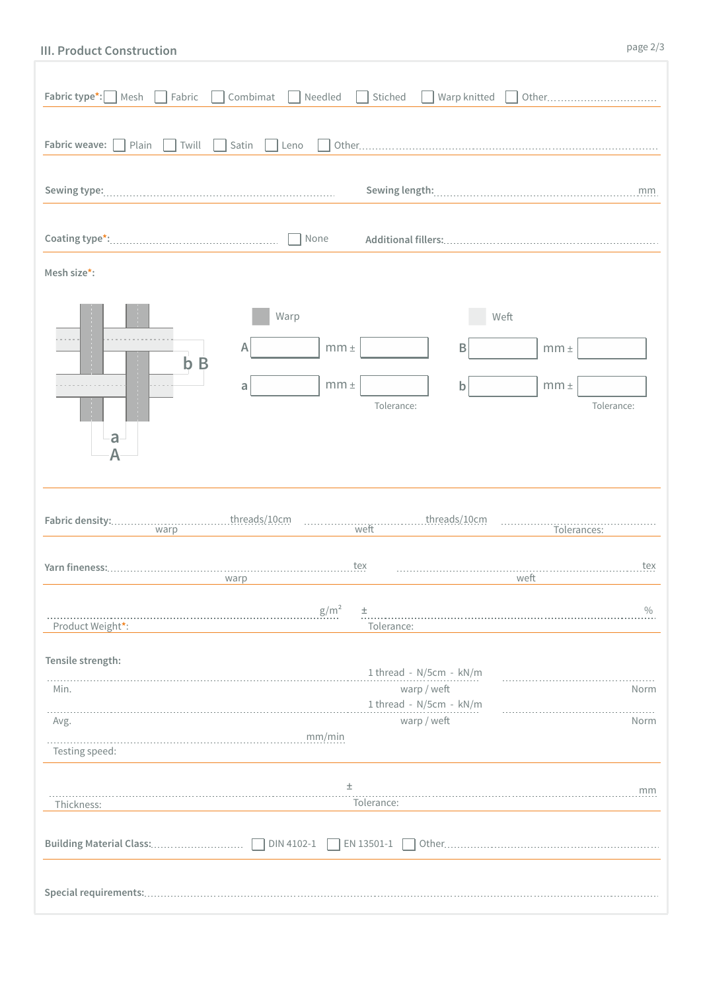## **III. Product Construction**

| Fabric type*:<br>  Mesh           | Combimat<br>Fabric      | Needled                      | Stiched    | Warp knitted                                                                     |                              | Other         |
|-----------------------------------|-------------------------|------------------------------|------------|----------------------------------------------------------------------------------|------------------------------|---------------|
| Fabric weave:<br>Plain            | Twill<br>Satin          | Leno                         |            |                                                                                  |                              |               |
|                                   |                         |                              |            |                                                                                  |                              | mm            |
|                                   |                         | None                         |            |                                                                                  |                              |               |
| Mesh size*:                       |                         |                              |            |                                                                                  |                              |               |
|                                   | Warp<br>A<br>$b$ B<br>a | $mm \pm$<br>$mm \pm$         |            | B<br>b                                                                           | Weft<br>$mm \pm$<br>$mm \pm$ |               |
| a<br>Α<br>warp                    |                         |                              | Tolerance: | threads/10cm                                                                     | Tolerances:                  | Tolerance:    |
|                                   | warp                    | tex                          |            |                                                                                  | weft                         | tex           |
| Product Weight*:                  |                         | g/m <sup>2</sup><br>$_{\pm}$ | Tolerance: |                                                                                  |                              | $\frac{0}{0}$ |
| Tensile strength:<br>Min.<br>Avg. |                         | mm/min                       |            | 1 thread - N/5cm - kN/m<br>warp / weft<br>1 thread - N/5cm - kN/m<br>warp / weft |                              | Norm<br>Norm  |
| Testing speed:                    |                         | 土                            | Tolerance: |                                                                                  |                              | mm            |
| Thickness:                        |                         | EN 13501-1                   |            |                                                                                  |                              |               |
|                                   |                         |                              |            |                                                                                  |                              |               |